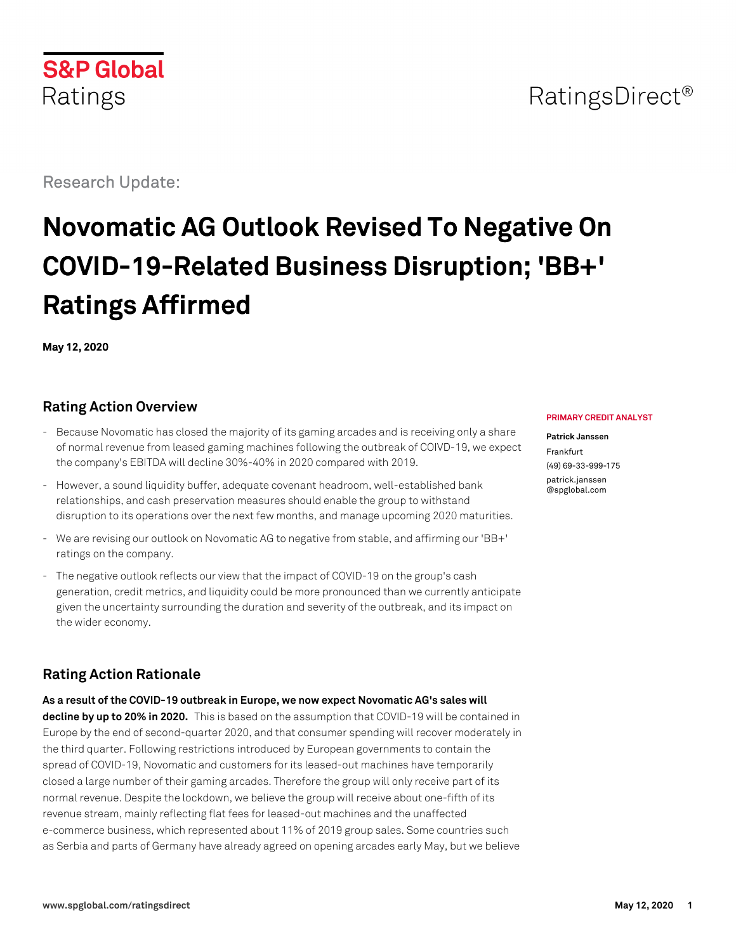# **S&P Global** Ratings

Research Update:

# **Novomatic AG Outlook Revised To Negative On COVID-19-Related Business Disruption; 'BB+' Ratings Affirmed**

**May 12, 2020**

# **Rating Action Overview**

- Because Novomatic has closed the majority of its gaming arcades and is receiving only a share of normal revenue from leased gaming machines following the outbreak of COIVD-19, we expect the company's EBITDA will decline 30%-40% in 2020 compared with 2019.
- However, a sound liquidity buffer, adequate covenant headroom, well-established bank relationships, and cash preservation measures should enable the group to withstand disruption to its operations over the next few months, and manage upcoming 2020 maturities.
- We are revising our outlook on Novomatic AG to negative from stable, and affirming our 'BB+' ratings on the company.
- The negative outlook reflects our view that the impact of COVID-19 on the group's cash generation, credit metrics, and liquidity could be more pronounced than we currently anticipate given the uncertainty surrounding the duration and severity of the outbreak, and its impact on the wider economy.

# **Rating Action Rationale**

**As a result of the COVID-19 outbreak in Europe, we now expect Novomatic AG's sales will decline by up to 20% in 2020.** This is based on the assumption that COVID-19 will be contained in Europe by the end of second-quarter 2020, and that consumer spending will recover moderately in the third quarter. Following restrictions introduced by European governments to contain the spread of COVID-19, Novomatic and customers for its leased-out machines have temporarily closed a large number of their gaming arcades. Therefore the group will only receive part of its normal revenue. Despite the lockdown, we believe the group will receive about one-fifth of its revenue stream, mainly reflecting flat fees for leased-out machines and the unaffected e-commerce business, which represented about 11% of 2019 group sales. Some countries such as Serbia and parts of Germany have already agreed on opening arcades early May, but we believe

#### **PRIMARY CREDIT ANALYST**

#### **Patrick Janssen** Frankfurt (49) 69-33-999-175 [patrick.janssen](mailto:patrick.janssen@spglobal.com) [@spglobal.com](mailto:patrick.janssen@spglobal.com)

# RatingsDirect<sup>®</sup>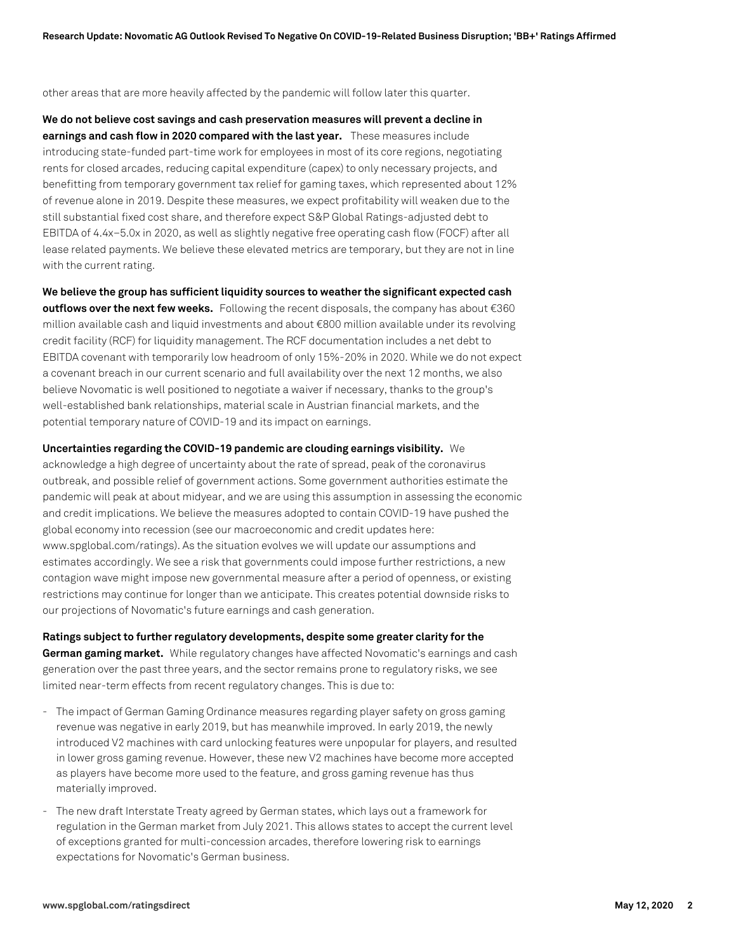other areas that are more heavily affected by the pandemic will follow later this quarter.

**We do not believe cost savings and cash preservation measures will prevent a decline in earnings and cash flow in 2020 compared with the last year.** These measures include introducing state-funded part-time work for employees in most of its core regions, negotiating rents for closed arcades, reducing capital expenditure (capex) to only necessary projects, and benefitting from temporary government tax relief for gaming taxes, which represented about 12% of revenue alone in 2019. Despite these measures, we expect profitability will weaken due to the still substantial fixed cost share, and therefore expect S&P Global Ratings-adjusted debt to EBITDA of 4.4x–5.0x in 2020, as well as slightly negative free operating cash flow (FOCF) after all lease related payments. We believe these elevated metrics are temporary, but they are not in line with the current rating.

**We believe the group has sufficient liquidity sources to weather the significant expected cash outflows over the next few weeks.** Following the recent disposals, the company has about €360 million available cash and liquid investments and about €800 million available under its revolving credit facility (RCF) for liquidity management. The RCF documentation includes a net debt to EBITDA covenant with temporarily low headroom of only 15%-20% in 2020. While we do not expect a covenant breach in our current scenario and full availability over the next 12 months, we also believe Novomatic is well positioned to negotiate a waiver if necessary, thanks to the group's well-established bank relationships, material scale in Austrian financial markets, and the potential temporary nature of COVID-19 and its impact on earnings.

**Uncertainties regarding the COVID-19 pandemic are clouding earnings visibility.** We acknowledge a high degree of uncertainty about the rate of spread, peak of the coronavirus outbreak, and possible relief of government actions. Some government authorities estimate the pandemic will peak at about midyear, and we are using this assumption in assessing the economic and credit implications. We believe the measures adopted to contain COVID-19 have pushed the global economy into recession (see our macroeconomic and credit updates here: www.spglobal.com/ratings). As the situation evolves we will update our assumptions and estimates accordingly. We see a risk that governments could impose further restrictions, a new contagion wave might impose new governmental measure after a period of openness, or existing restrictions may continue for longer than we anticipate. This creates potential downside risks to our projections of Novomatic's future earnings and cash generation.

**Ratings subject to further regulatory developments, despite some greater clarity for the German gaming market.** While regulatory changes have affected Novomatic's earnings and cash generation over the past three years, and the sector remains prone to regulatory risks, we see limited near-term effects from recent regulatory changes. This is due to:

- The impact of German Gaming Ordinance measures regarding player safety on gross gaming revenue was negative in early 2019, but has meanwhile improved. In early 2019, the newly introduced V2 machines with card unlocking features were unpopular for players, and resulted in lower gross gaming revenue. However, these new V2 machines have become more accepted as players have become more used to the feature, and gross gaming revenue has thus materially improved.
- The new draft Interstate Treaty agreed by German states, which lays out a framework for regulation in the German market from July 2021. This allows states to accept the current level of exceptions granted for multi-concession arcades, therefore lowering risk to earnings expectations for Novomatic's German business.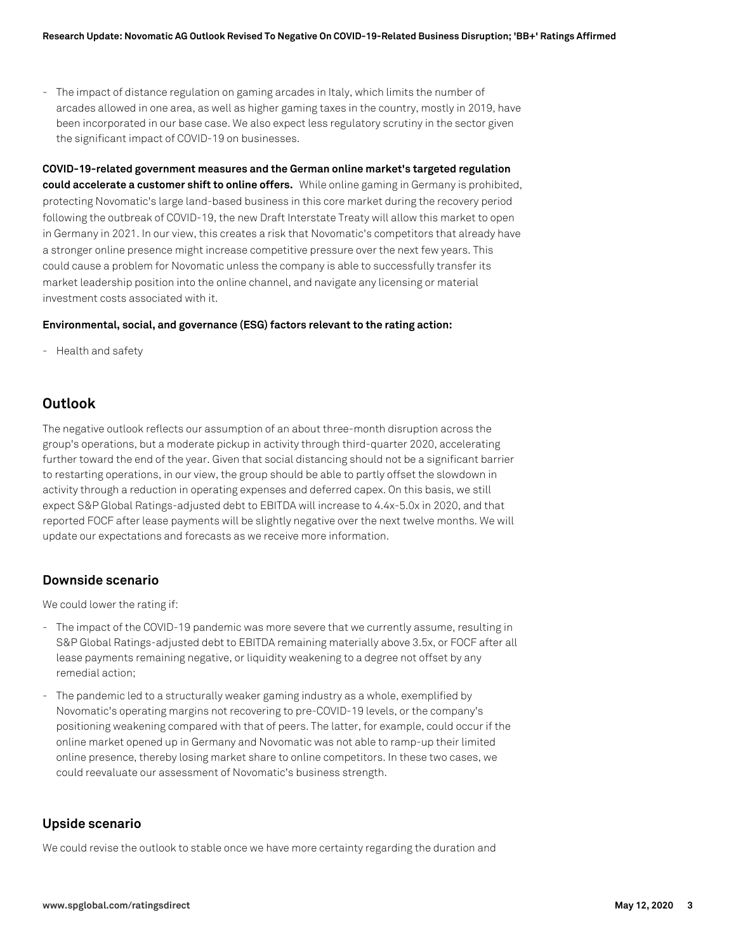- The impact of distance regulation on gaming arcades in Italy, which limits the number of arcades allowed in one area, as well as higher gaming taxes in the country, mostly in 2019, have been incorporated in our base case. We also expect less regulatory scrutiny in the sector given the significant impact of COVID-19 on businesses.

**COVID-19-related government measures and the German online market's targeted regulation could accelerate a customer shift to online offers.** While online gaming in Germany is prohibited, protecting Novomatic's large land-based business in this core market during the recovery period following the outbreak of COVID-19, the new Draft Interstate Treaty will allow this market to open in Germany in 2021. In our view, this creates a risk that Novomatic's competitors that already have a stronger online presence might increase competitive pressure over the next few years. This could cause a problem for Novomatic unless the company is able to successfully transfer its market leadership position into the online channel, and navigate any licensing or material investment costs associated with it.

#### **Environmental, social, and governance (ESG) factors relevant to the rating action:**

- Health and safety

# **Outlook**

The negative outlook reflects our assumption of an about three-month disruption across the group's operations, but a moderate pickup in activity through third-quarter 2020, accelerating further toward the end of the year. Given that social distancing should not be a significant barrier to restarting operations, in our view, the group should be able to partly offset the slowdown in activity through a reduction in operating expenses and deferred capex. On this basis, we still expect S&P Global Ratings-adjusted debt to EBITDA will increase to 4.4x-5.0x in 2020, and that reported FOCF after lease payments will be slightly negative over the next twelve months. We will update our expectations and forecasts as we receive more information.

#### **Downside scenario**

We could lower the rating if:

- The impact of the COVID-19 pandemic was more severe that we currently assume, resulting in S&P Global Ratings-adjusted debt to EBITDA remaining materially above 3.5x, or FOCF after all lease payments remaining negative, or liquidity weakening to a degree not offset by any remedial action;
- The pandemic led to a structurally weaker gaming industry as a whole, exemplified by Novomatic's operating margins not recovering to pre-COVID-19 levels, or the company's positioning weakening compared with that of peers. The latter, for example, could occur if the online market opened up in Germany and Novomatic was not able to ramp-up their limited online presence, thereby losing market share to online competitors. In these two cases, we could reevaluate our assessment of Novomatic's business strength.

#### **Upside scenario**

We could revise the outlook to stable once we have more certainty regarding the duration and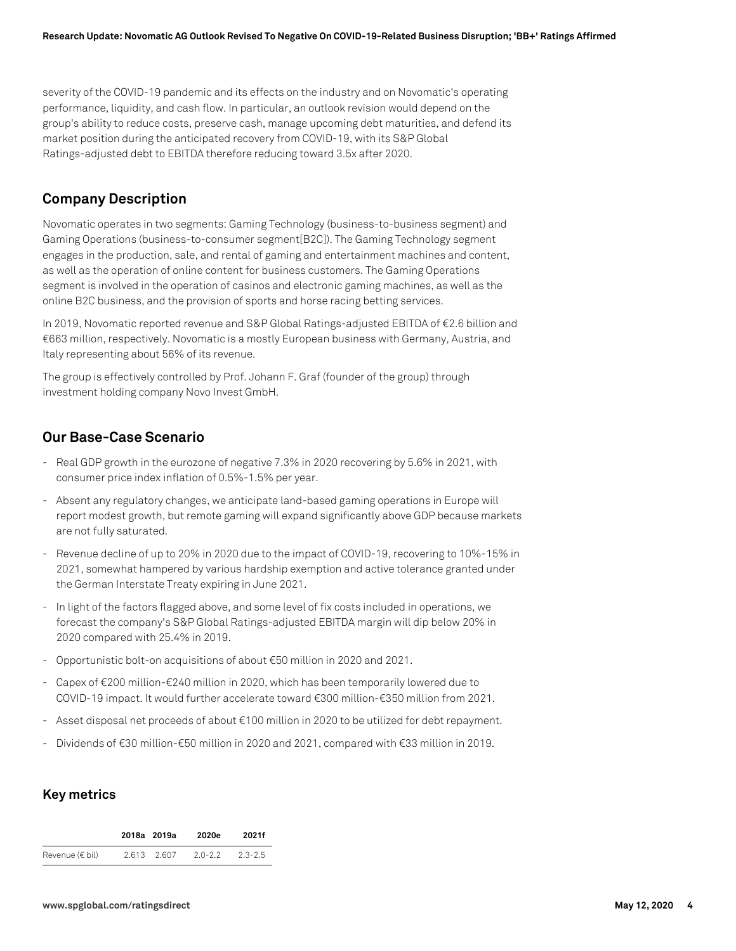severity of the COVID-19 pandemic and its effects on the industry and on Novomatic's operating performance, liquidity, and cash flow. In particular, an outlook revision would depend on the group's ability to reduce costs, preserve cash, manage upcoming debt maturities, and defend its market position during the anticipated recovery from COVID-19, with its S&P Global Ratings-adjusted debt to EBITDA therefore reducing toward 3.5x after 2020.

# **Company Description**

Novomatic operates in two segments: Gaming Technology (business-to-business segment) and Gaming Operations (business-to-consumer segment[B2C]). The Gaming Technology segment engages in the production, sale, and rental of gaming and entertainment machines and content, as well as the operation of online content for business customers. The Gaming Operations segment is involved in the operation of casinos and electronic gaming machines, as well as the online B2C business, and the provision of sports and horse racing betting services.

In 2019, Novomatic reported revenue and S&P Global Ratings-adjusted EBITDA of €2.6 billion and €663 million, respectively. Novomatic is a mostly European business with Germany, Austria, and Italy representing about 56% of its revenue.

The group is effectively controlled by Prof. Johann F. Graf (founder of the group) through investment holding company Novo Invest GmbH.

# **Our Base-Case Scenario**

- Real GDP growth in the eurozone of negative 7.3% in 2020 recovering by 5.6% in 2021, with consumer price index inflation of 0.5%-1.5% per year.
- Absent any regulatory changes, we anticipate land-based gaming operations in Europe will report modest growth, but remote gaming will expand significantly above GDP because markets are not fully saturated.
- Revenue decline of up to 20% in 2020 due to the impact of COVID-19, recovering to 10%-15% in 2021, somewhat hampered by various hardship exemption and active tolerance granted under the German Interstate Treaty expiring in June 2021.
- In light of the factors flagged above, and some level of fix costs included in operations, we forecast the company's S&P Global Ratings-adjusted EBITDA margin will dip below 20% in 2020 compared with 25.4% in 2019.
- Opportunistic bolt-on acquisitions of about €50 million in 2020 and 2021.
- Capex of €200 million-€240 million in 2020, which has been temporarily lowered due to COVID-19 impact. It would further accelerate toward €300 million-€350 million from 2021.
- Asset disposal net proceeds of about €100 million in 2020 to be utilized for debt repayment.
- Dividends of €30 million-€50 million in 2020 and 2021, compared with €33 million in 2019.

# **Key metrics**

|                     | 2018a 2019a | 2020e       | 2021f       |
|---------------------|-------------|-------------|-------------|
| Revenue $(\in$ bil) | 2.613 2.607 | $2.0 - 2.2$ | $2.3 - 2.5$ |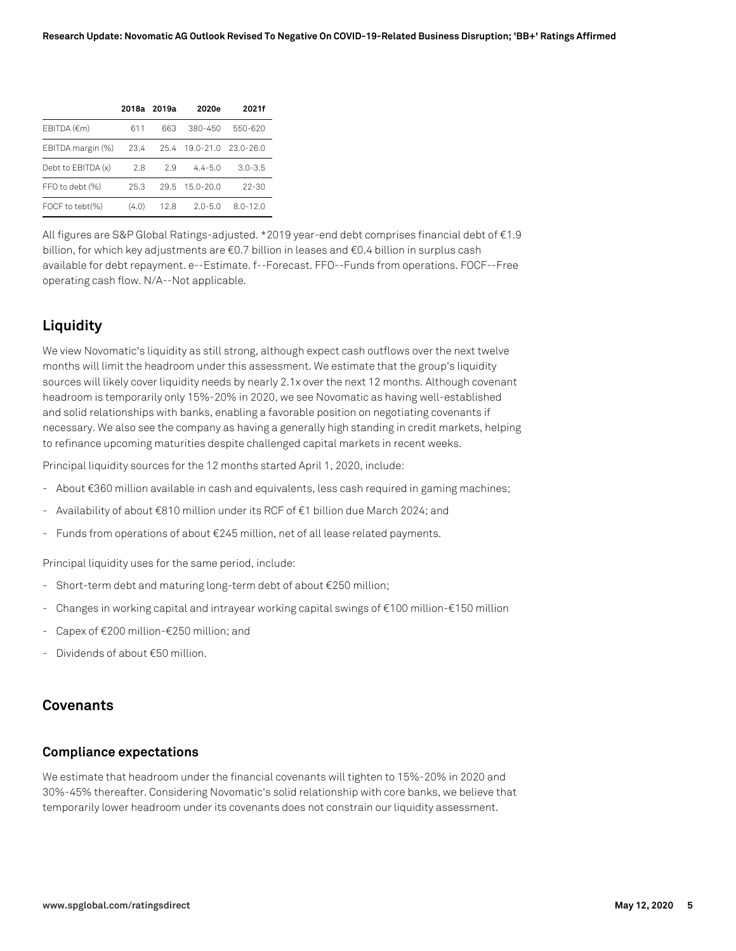|                    |       | 2018a 2019a | 2020e          | 2021f        |
|--------------------|-------|-------------|----------------|--------------|
| EBITDA (€m)        | 611   | 663         | 380-450        | 550-620      |
| EBITDA margin (%)  | 23.4  |             | 25.4 19.0-21.0 | - 23.0-26.0  |
| Debt to EBITDA (x) | 2.8   | 29          | $4.4 - 5.0$    | $3.0 - 3.5$  |
| FFO to debt (%)    | 25.3  | 29.5        | 15.0-20.0      | $22 - 30$    |
| FOCF to tebt(%)    | (4.0) | 12.8        | $2.0 - 5.0$    | $8.0 - 12.0$ |

All figures are S&P Global Ratings-adjusted. \*2019 year-end debt comprises financial debt of €1.9 billion, for which key adjustments are €0.7 billion in leases and €0.4 billion in surplus cash available for debt repayment. e--Estimate. f--Forecast. FFO--Funds from operations. FOCF--Free operating cash flow. N/A--Not applicable.

# **Liquidity**

We view Novomatic's liquidity as still strong, although expect cash outflows over the next twelve months will limit the headroom under this assessment. We estimate that the group's liquidity sources will likely cover liquidity needs by nearly 2.1x over the next 12 months. Although covenant headroom is temporarily only 15%-20% in 2020, we see Novomatic as having well-established and solid relationships with banks, enabling a favorable position on negotiating covenants if necessary. We also see the company as having a generally high standing in credit markets, helping to refinance upcoming maturities despite challenged capital markets in recent weeks.

Principal liquidity sources for the 12 months started April 1, 2020, include:

- About €360 million available in cash and equivalents, less cash required in gaming machines;
- Availability of about €810 million under its RCF of €1 billion due March 2024; and
- Funds from operations of about €245 million, net of all lease related payments.

Principal liquidity uses for the same period, include:

- Short-term debt and maturing long-term debt of about €250 million;
- Changes in working capital and intrayear working capital swings of €100 million-€150 million
- Capex of €200 million-€250 million; and
- Dividends of about €50 million.

#### **Covenants**

#### **Compliance expectations**

We estimate that headroom under the financial covenants will tighten to 15%-20% in 2020 and 30%-45% thereafter. Considering Novomatic's solid relationship with core banks, we believe that temporarily lower headroom under its covenants does not constrain our liquidity assessment.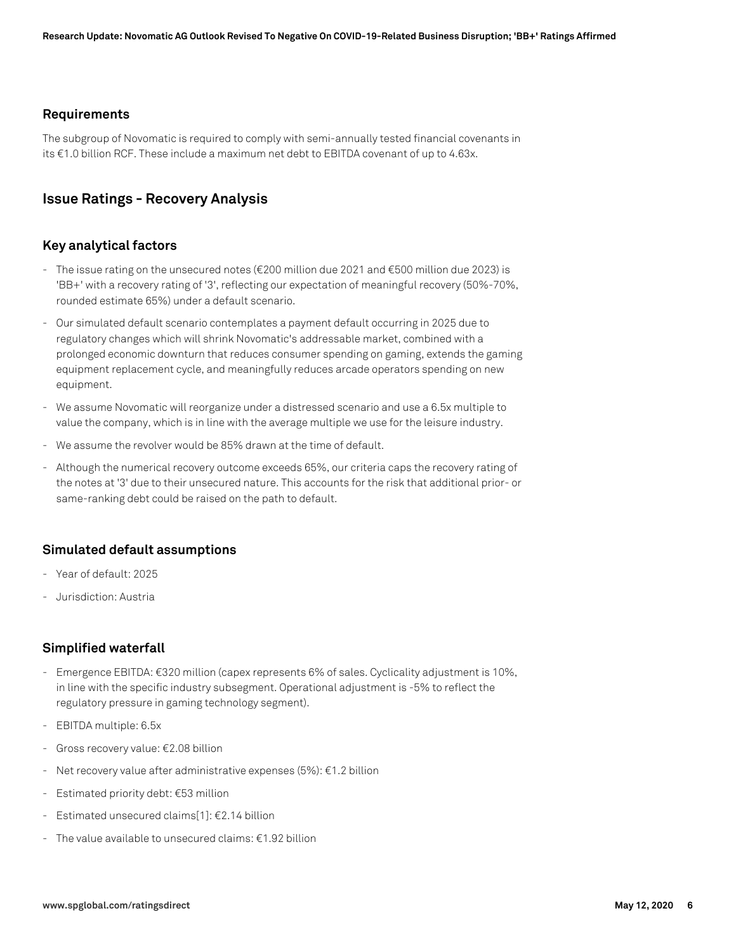#### **Requirements**

The subgroup of Novomatic is required to comply with semi-annually tested financial covenants in its €1.0 billion RCF. These include a maximum net debt to EBITDA covenant of up to 4.63x.

# **Issue Ratings - Recovery Analysis**

#### **Key analytical factors**

- The issue rating on the unsecured notes (€200 million due 2021 and €500 million due 2023) is 'BB+' with a recovery rating of '3', reflecting our expectation of meaningful recovery (50%-70%, rounded estimate 65%) under a default scenario.
- Our simulated default scenario contemplates a payment default occurring in 2025 due to regulatory changes which will shrink Novomatic's addressable market, combined with a prolonged economic downturn that reduces consumer spending on gaming, extends the gaming equipment replacement cycle, and meaningfully reduces arcade operators spending on new equipment.
- We assume Novomatic will reorganize under a distressed scenario and use a 6.5x multiple to value the company, which is in line with the average multiple we use for the leisure industry.
- We assume the revolver would be 85% drawn at the time of default.
- Although the numerical recovery outcome exceeds 65%, our criteria caps the recovery rating of the notes at '3' due to their unsecured nature. This accounts for the risk that additional prior- or same-ranking debt could be raised on the path to default.

## **Simulated default assumptions**

- Year of default: 2025
- Jurisdiction: Austria

#### **Simplified waterfall**

- Emergence EBITDA: €320 million (capex represents 6% of sales. Cyclicality adjustment is 10%, in line with the specific industry subsegment. Operational adjustment is -5% to reflect the regulatory pressure in gaming technology segment).
- EBITDA multiple: 6.5x
- Gross recovery value: €2.08 billion
- Net recovery value after administrative expenses (5%): €1.2 billion
- Estimated priority debt: €53 million
- Estimated unsecured claims[1]: €2.14 billion
- The value available to unsecured claims:  $f1.92$  billion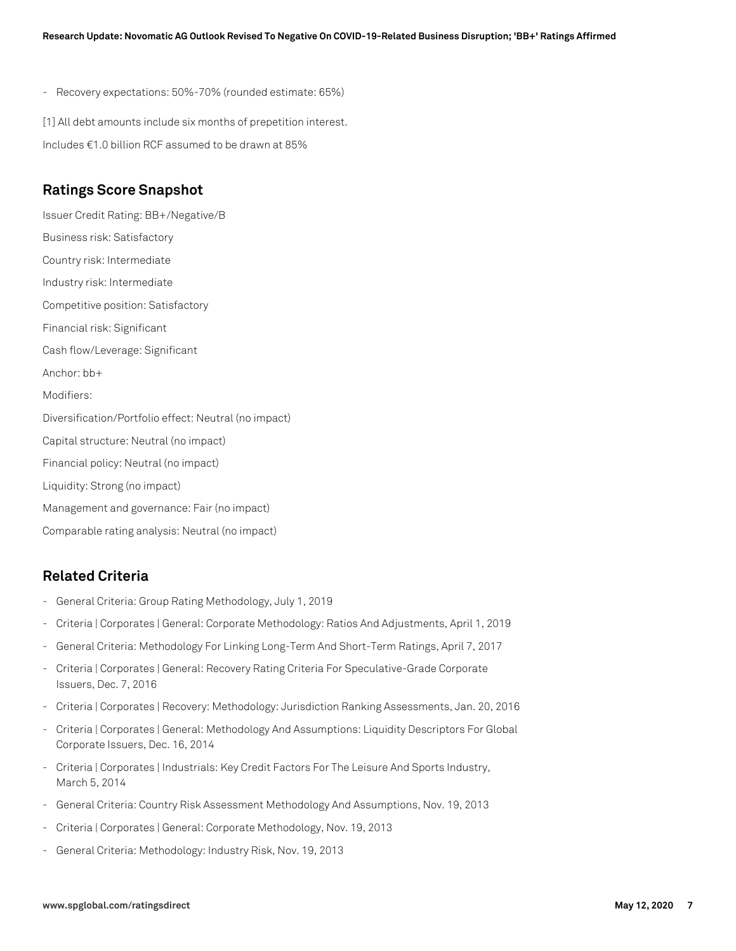- Recovery expectations: 50%-70% (rounded estimate: 65%)

[1] All debt amounts include six months of prepetition interest.

Includes €1.0 billion RCF assumed to be drawn at 85%

## **Ratings Score Snapshot**

Issuer Credit Rating: BB+/Negative/B Business risk: Satisfactory Country risk: Intermediate Industry risk: Intermediate Competitive position: Satisfactory Financial risk: Significant Cash flow/Leverage: Significant Anchor: bb+ Modifiers: Diversification/Portfolio effect: Neutral (no impact) Capital structure: Neutral (no impact) Financial policy: Neutral (no impact) Liquidity: Strong (no impact) Management and governance: Fair (no impact) Comparable rating analysis: Neutral (no impact)

# **Related Criteria**

- General Criteria: Group Rating Methodology, July 1, 2019
- Criteria | Corporates | General: Corporate Methodology: Ratios And Adjustments, April 1, 2019
- General Criteria: Methodology For Linking Long-Term And Short-Term Ratings, April 7, 2017
- Criteria | Corporates | General: Recovery Rating Criteria For Speculative-Grade Corporate Issuers, Dec. 7, 2016
- Criteria | Corporates | Recovery: Methodology: Jurisdiction Ranking Assessments, Jan. 20, 2016
- Criteria | Corporates | General: Methodology And Assumptions: Liquidity Descriptors For Global Corporate Issuers, Dec. 16, 2014
- Criteria | Corporates | Industrials: Key Credit Factors For The Leisure And Sports Industry, March 5, 2014
- General Criteria: Country Risk Assessment Methodology And Assumptions, Nov. 19, 2013
- Criteria | Corporates | General: Corporate Methodology, Nov. 19, 2013
- General Criteria: Methodology: Industry Risk, Nov. 19, 2013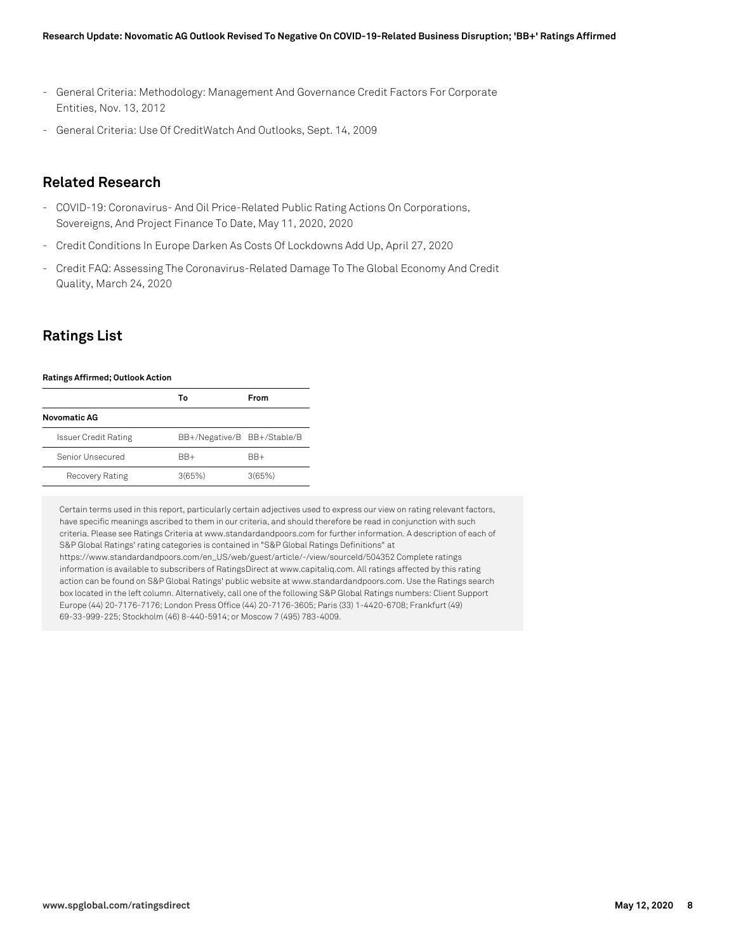- General Criteria: Methodology: Management And Governance Credit Factors For Corporate Entities, Nov. 13, 2012
- General Criteria: Use Of CreditWatch And Outlooks, Sept. 14, 2009

# **Related Research**

- COVID-19: Coronavirus- And Oil Price-Related Public Rating Actions On Corporations, Sovereigns, And Project Finance To Date, May 11, 2020, 2020
- Credit Conditions In Europe Darken As Costs Of Lockdowns Add Up, April 27, 2020
- Credit FAQ: Assessing The Coronavirus-Related Damage To The Global Economy And Credit Quality, March 24, 2020

# **Ratings List**

#### **Ratings Affirmed; Outlook Action**

|                             | То                          | From   |
|-----------------------------|-----------------------------|--------|
| Novomatic AG                |                             |        |
| <b>Issuer Credit Rating</b> | BB+/Negative/B BB+/Stable/B |        |
| Senior Unsecured            | $BR+$                       | BB+    |
| Recovery Rating             | 3(65%)                      | 3(65%) |

Certain terms used in this report, particularly certain adjectives used to express our view on rating relevant factors, have specific meanings ascribed to them in our criteria, and should therefore be read in conjunction with such criteria. Please see Ratings Criteria at www.standardandpoors.com for further information. A description of each of S&P Global Ratings' rating categories is contained in "S&P Global Ratings Definitions" at https://www.standardandpoors.com/en\_US/web/guest/article/-/view/sourceId/504352 Complete ratings information is available to subscribers of RatingsDirect at www.capitaliq.com. All ratings affected by this rating action can be found on S&P Global Ratings' public website at www.standardandpoors.com. Use the Ratings search box located in the left column. Alternatively, call one of the following S&P Global Ratings numbers: Client Support Europe (44) 20-7176-7176; London Press Office (44) 20-7176-3605; Paris (33) 1-4420-6708; Frankfurt (49) 69-33-999-225; Stockholm (46) 8-440-5914; or Moscow 7 (495) 783-4009.